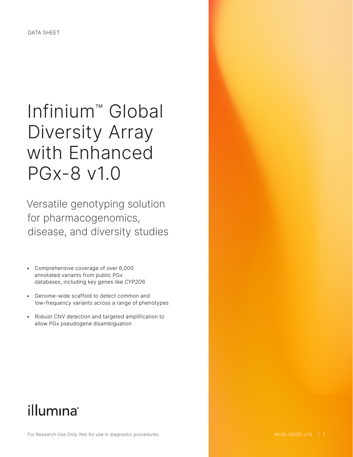# Infinium™ Global Diversity Array with Enhanced PGx-8 v1.0

Versatile genotyping solution for pharmacogenomics, disease, and diversity studies

- Comprehensive coverage of over 6,000 annotated variants from public PGx databases, including key genes like *CYP2D6*
- Genome-wide scaffold to detect common and low-frequency variants across a range of phenotypes
- Robust CNV detection and targeted amplification to allow PGx pseudogene disambiguation

# illumına®

For Research Use Only. Not for use in diagnostic procedures.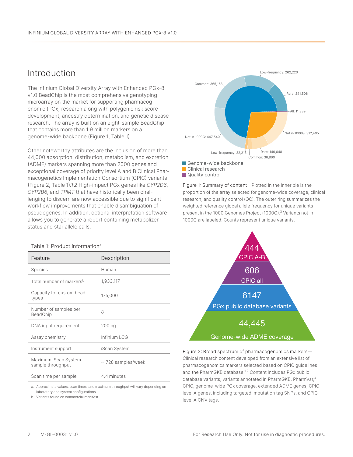### Introduction

The Infinium Global Diversity Array with Enhanced PGx-8 v1.0 BeadChip is the most comprehensive genotyping microarray on the market for supporting pharmacogenomic (PGx) research along with polygenic risk score development, ancestry determination, and genetic disease research. The array is built on an eight-sample BeadChip that contains more than 1.9 million markers on a genome-wide backbone ([Figure 1](#page-1-0), [Table 1](#page-1-1)).

Other noteworthy attributes are the inclusion of more than 44,000 absorption, distribution, metabolism, and excretion (ADME) markers spanning more than 2000 genes and exceptional coverage of priority level A and B Clinical Pharmacogenetics Implementation Consortium (CPIC) variants ([Figure 2,](#page-1-2) [Table 1](#page-1-1)).*[1](#page-7-0)*, *[2](#page-7-1)* High-impact PGx genes like *CYP2D6*, *CYP2B6*, and *TPMT* that have historically been challenging to discern are now accessible due to significant workflow improvements that enable disambiguation of pseudogenes. In addition, optional interpretation software allows you to generate a report containing metabolizer status and star allele calls.

#### <span id="page-1-1"></span>Table 1: Product informationa

| Feature                                   | Description        |
|-------------------------------------------|--------------------|
| <b>Species</b>                            | Human              |
| Total number of markers <sup>b</sup>      | 1,933,117          |
| Capacity for custom bead<br>types         | 175,000            |
| Number of samples per<br>BeadChip         | 8                  |
| DNA input requirement                     | 200 ng             |
| Assay chemistry                           | Infinium LCG       |
| Instrument support                        | iScan System       |
| Maximum iScan System<br>sample throughput | ~1728 samples/week |
| Scan time per sample                      | 4.4 minutes        |
|                                           |                    |

a. Approximate values, scan times, and maximum throughput will vary depending on laboratory and system configurations

b. Variants found on commercial manifest



<span id="page-1-0"></span>Figure 1: Summary of content—Plotted in the inner pie is the proportion of the array selected for genome-wide coverage, clinical research, and quality control (QC). The outer ring summarizes the weighted reference global allele frequency for unique variants present in the 1000 Genomes Project (1000G).<sup>[3](#page-7-2)</sup> Variants not in 1000G are labeled. Counts represent unique variants.



<span id="page-1-2"></span>Figure 2: Broad spectrum of pharmacogenomics markers— Clinical research content developed from an extensive list of pharmacogenomics markers selected based on CPIC guidelines and the PharmGKB database.<sup>[1,](#page-7-0)[2](#page-7-1)</sup> Content includes PGx public database variants, variants annotated in PharmGKB, PharmVar,<sup>[4](#page-7-3)</sup> CPIC, genome-wide PGx coverage, extended ADME genes, CPIC level A genes, including targeted imputation tag SNPs, and CPIC level A CNV tags.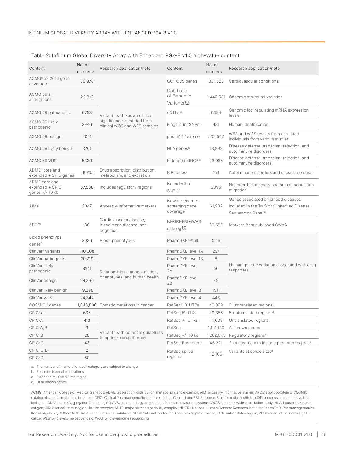| Content                                             | No. of<br>markers <sup>a</sup> | Research application/note                                        | Content                                       | No. of<br>markers | Research application/note                                                                                            |  |
|-----------------------------------------------------|--------------------------------|------------------------------------------------------------------|-----------------------------------------------|-------------------|----------------------------------------------------------------------------------------------------------------------|--|
| ACMG <sup>5</sup> 59 2016 gene<br>coverage          | 30,878                         |                                                                  | GO <sup>11</sup> CVS genes                    | 331,520           | Cardiovascular conditions                                                                                            |  |
| ACMG 59 all<br>annotations                          | 22,812                         |                                                                  | Database<br>of Genomic<br>Variants12          |                   | 1,440,531 Genomic structural variation                                                                               |  |
| ACMG 59 pathogenic                                  | 6753                           | Variants with known clinical                                     | eQTLs <sup>13</sup>                           | 6394              | Genomic loci regulating mRNA expression<br>levels                                                                    |  |
| ACMG 59 likely<br>pathogenic                        | 2946                           | significance identified from<br>clinical WGS and WES samples     | Fingerprint SNPs <sup>14</sup>                | 481               | Human identification                                                                                                 |  |
| ACMG 59 benign                                      | 2051                           |                                                                  | gnomAD <sup>15</sup> exome                    | 502,547           | WES and WGS results from unrelated<br>individuals from various studies                                               |  |
| ACMG 59 likely benign                               | 3701                           |                                                                  | HLA genes <sup>16</sup>                       | 18,893            | Disease defense, transplant rejection, and<br>autoimmune disorders                                                   |  |
| ACMG 59 VUS                                         | 5330                           |                                                                  | Extended MHC <sup>16,c</sup>                  | 23,965            | Disease defense, transplant rejection, and<br>autoimmune disorders                                                   |  |
| ADME <sup>6</sup> core and<br>extended + CPIC genes | 49,705                         | Drug absorption, distribution,<br>metabolism, and excretion      | KIR genes <sup>7</sup>                        | 154               | Autoimmune disorders and disease defense                                                                             |  |
| ADME core and<br>extended + CPIC<br>genes +/- 10 kb | 57,588                         | Includes regulatory regions                                      | Neanderthal<br>SNPs <sup>17</sup>             | 2095              | Neanderthal ancestry and human population<br>migration                                                               |  |
| AIM <sub>sb</sub>                                   | 3047                           | Ancestry-informative markers                                     | Newborn/carrier<br>screening gene<br>coverage | 61,902            | Genes associated childhood diseases<br>included in the TruSight" Inherited Disease<br>Sequencing Panel <sup>18</sup> |  |
| APOE <sup>7</sup>                                   | 86                             | Cardiovascular disease,<br>Alzheimer's disease, and<br>cognition | NHGRI-EBI GWAS<br>catalog19                   | 32,585            | Markers from published GWAS                                                                                          |  |
| Blood phenotype<br>genes <sup>8</sup>               | 3036                           | Blood phenotypes                                                 | PharmGKB <sup>4,20</sup> all                  | 5116              |                                                                                                                      |  |
| ClinVar <sup>9</sup> variants                       | 110,608                        |                                                                  | PharmGKB level 1A                             | 297               |                                                                                                                      |  |
| ClinVar pathogenic                                  | 20,719                         |                                                                  | PharmGKB level 1B                             | 8                 |                                                                                                                      |  |
| ClinVar likely<br>pathogenic                        | 8241                           | Relationships among variation,                                   | PharmGKB level<br>2A                          | 56                | Human genetic variation associated with drug<br>responses                                                            |  |
| ClinVar benign                                      | 29,366                         | phenotypes, and human health                                     | PharmGKB level<br>2B                          | 49                |                                                                                                                      |  |
| ClinVar likely benign                               | 19,298                         |                                                                  | PharmGKB level 3                              | 1911              |                                                                                                                      |  |
| ClinVar VUS                                         | 24,342                         |                                                                  | PharmGKB level 4                              | 446               |                                                                                                                      |  |
| COSMIC <sup>10</sup> genes                          |                                | 1,043,886 Somatic mutations in cancer                            | RefSeq <sup>21</sup> 3' UTRs                  | 46,399            | 3' untranslated regions <sup>d</sup>                                                                                 |  |
| $C2$ all                                            | 606                            |                                                                  | RefSeq 5' UTRs                                | 30,386            | 5' untranslated regions <sup>d</sup>                                                                                 |  |
| CPIC-A                                              | 413                            |                                                                  | RefSeq All UTRs                               | 74,608            | Untranslated regions <sup>d</sup>                                                                                    |  |
| CPIC-A/B                                            | 3                              |                                                                  | RefSeq                                        | 1,121,140         | All known genes                                                                                                      |  |
| CPIC-B                                              | 28                             | Variants with potential quidelines<br>to optimize drug therapy   | RefSeq $+/- 10$ kb                            | 1,262,045         | Regulatory regions <sup>d</sup>                                                                                      |  |
| CPIC-C                                              | 43                             |                                                                  | RefSeq Promoters                              | 45,221            | 2 kb upstream to include promoter regions <sup>d</sup>                                                               |  |
| CPIC-C/D                                            | $\overline{2}$                 |                                                                  | RefSeq splice                                 | 12,106            | Variants at splice sites <sup>d</sup>                                                                                |  |
| CPIC-D                                              | 60                             |                                                                  | regions                                       |                   |                                                                                                                      |  |

### <span id="page-2-0"></span>Table 2: Infinium Global Diversity Array with Enhanced PGx-8 v1.0 high-value content

a. The number of markers for each category are subject to change

b. Based on internal calculations

c. Extended MHC is a 8 Mb region

d. Of all known genes

ACMG: American College of Medical Genetics; ADME: absorption, distribution, metabolism, and excretion; AIM: ancestry-informative marker; APOE: apolipoprotein E; COSMIC: catalog of somatic mutations in cancer; CPIC: Clinical Pharmacogenetics Implementation Consortium; EBI: European Bioinformatics Institute; eQTL: expression quantitative trait loci; gnomAD: Genome Aggregation Database; GO CVS: gene ontology annotation of the cardiovascular system; GWAS: genome-wide association study; HLA: human leukocyte antigen; KIR: killer cell immunoglobulin-like receptor; MHC: major histocompatibility complex; NHGRI: National Human Genome Research Institute; PharmGKB: Pharmacogenomics Knowledgebase; RefSeq: NCBI Reference Sequence Database; NCBI: National Center for Biotechnology Information; UTR: untranslated region; VUS: variant of unknown significance; WES: whole-exome sequencing; WGS: whole-genome sequencing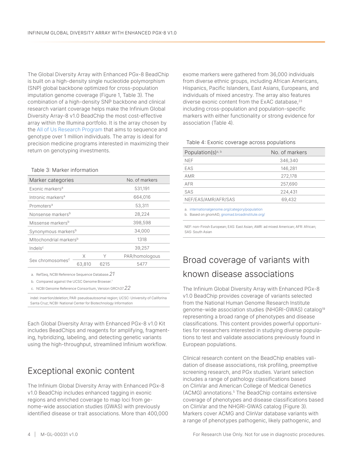The Global Diversity Array with Enhanced PGx-8 BeadChip is built on a high-density single nucleotide polymorphism (SNP) global backbone optimized for cross-population imputation genome coverage ([Figure 1](#page-1-0), [Table 3](#page-3-0)). The combination of a high-density SNP backbone and clinical research variant coverage helps make the Infinium Global Diversity Array-8 v1.0 BeadChip the most cost-effective array within the Illumina portfolio. It is the array chosen by the [All of Us Research Program](https://allofus.nih.gov/) that aims to sequence and genotype over 1 million individuals. The array is ideal for precision medicine programs interested in maximizing their return on genotyping investments.

### <span id="page-3-0"></span>Table 3: Marker information

| Marker categories                  |                                           |      | No. of markers |  |  |
|------------------------------------|-------------------------------------------|------|----------------|--|--|
| Exonic markers <sup>a</sup>        |                                           |      | 531,191        |  |  |
| Intronic markers <sup>a</sup>      |                                           |      | 664,016        |  |  |
| Promoters <sup>a</sup>             |                                           |      | 53,311         |  |  |
| Nonsense markers <sup>b</sup>      |                                           |      | 28,224         |  |  |
| Missense markers <sup>b</sup>      |                                           |      | 398,598        |  |  |
|                                    | Synonymous markers <sup>b</sup><br>34,000 |      |                |  |  |
| Mitochondrial markers <sup>b</sup> |                                           |      | 1318           |  |  |
| Indels <sup>c</sup>                |                                           |      | 39,257         |  |  |
| Sex chromosomes <sup>c</sup>       | X                                         | Υ    | PAR/homologous |  |  |
|                                    | 63,810                                    | 6215 | 5477           |  |  |

a. RefSeq, NCBI Reference Sequence Database.*[21](#page-7-20)*

b. Compared against the UCSC Genome Browser.<sup>[7](#page-7-12)</sup>

c. NCBI Genome Reference Consortium, Version GRCh37.*[22](#page-7-21)*

indel: insertion/deletion; PAR: pseudoautosomal region; UCSC: University of Califorina Santa Cruz; NCBI: National Center for Biotechnology Information

Each Global Diversity Array with Enhanced PGx-8 v1.0 Kit includes BeadChips and reagents for amplifying, fragmenting, hybridizing, labeling, and detecting genetic variants using the high-throughput, streamlined Infinium workflow.

## Exceptional exonic content

The Infinium Global Diversity Array with Enhanced PGx-8 v1.0 BeadChip includes enhanced tagging in exonic regions and enriched coverage to map loci from genome-wide association studies (GWAS) with previously identified disease or trait associations. More than 400,000

exome markers were gathered from 36,000 individuals from diverse ethnic groups, including African Americans, Hispanics, Pacific Islanders, East Asians, Europeans, and individuals of mixed ancestry. The array also features diverse exonic content from the ExAC database,<sup>[23](#page-7-22)</sup> including cross-population and population-specific markers with either functionality or strong evidence for association [\(Table](#page-3-1) 4).

### <span id="page-3-1"></span>Table 4: Exonic coverage across populations

| Population(s) <sup>a, b</sup> | No. of markers |
|-------------------------------|----------------|
| <b>NEF</b>                    | 346,340        |
| <b>FAS</b>                    | 146,281        |
| <b>AMR</b>                    | 272,178        |
| AFR                           | 257,690        |
| SAS                           | 224,431        |
| NEF/EAS/AMR/AFR/SAS           | 69,432         |
|                               |                |

a. [internationalgenome.org/category/population](https://www.internationalgenome.org/category/population)

b. Based on gnomAD, [gnomad.broadinstitute.org/](https://gnomad.broadinstitute.org/)

NEF: non-Finish European; EAS: East Asian; AMR: ad mixed American; AFR: African; SAS: South Asian

# Broad coverage of variants with known disease associations

The Infinium Global Diversity Array with Enhanced PGx-8 v1.0 BeadChip provides coverage of variants selected from the National Human Genome Research Institute genome-wide association studies (NHGRI-GWAS) catalog<sup>[19](#page-7-15)</sup> representing a broad range of phenotypes and disease classifications. This content provides powerful opportunities for researchers interested in studying diverse populations to test and validate associations previously found in European populations.

Clinical research content on the BeadChip enables validation of disease associations, risk profiling, preemptive screening research, and PGx studies. Variant selection includes a range of pathology classifications based on ClinVar and American College of Medical Genetics (ACMG) annotations[.5](#page-7-4) The BeadChip contains extensive coverage of phenotypes and disease classifications based on ClinVar and the NHGRI-GWAS catalog ([Figure 3\)](#page-4-0). Markers cover ACMG and ClinVar database variants with a range of phenotypes pathogenic, likely pathogenic, and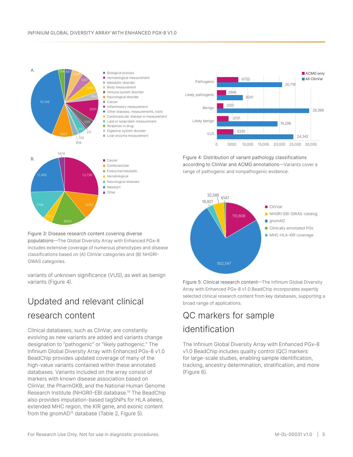

<span id="page-4-0"></span>Figure 3: Disease research content covering diverse populations—The Global Diversity Array with Enhanced PGx-8 includes extensive coverage of numerous phenotypes and disease classifications based on (A) ClinVar categories and (B) NHGRI-GWAS categories.

variants of unknown significance (VUS), as well as benign variants [\(Figure](#page-4-1) 4).

# Updated and relevant clinical

## research content

Clinical databases, such as ClinVar, are constantly evolving as new variants are added and variants change designation to "pathogenic" or "likely pathogenic." The Infinium Global Diversity Array with Enhanced PGx-8 v1.0 BeadChip provides updated coverage of many of the high-value variants contained within these annotated databases. Variants included on the array consist of markers with known disease association based on ClinVar, the PharmGKB, and the National Human Genome Research Institute (NHGRI)-EBI database.[19](#page-7-15) The BeadChip also provides imputation-based tagSNPs for HLA alleles, extended MHC region, the KIR gene, and exonic content from the gnomAD<sup>[15](#page-7-9)</sup> database [\(Table 2,](#page-2-0) [Figure](#page-4-2) 5).

Figure 5: Clinical research content—The Infinium Global Diversity Array with Enhanced PGx-8 v1.0 BeadChip incorporates expertly selected clinical research content from key databases, supporting a broad range of applications.

# QC markers for sample identification

<span id="page-4-2"></span><span id="page-4-1"></span>502,547

The Infinium Global Diversity Array with Enhanced PGx-8 v1.0 BeadChip includes quality control (QC) markers for large-scale studies, enabling sample identification, tracking, ancestry determination, stratification, and more ([Figure 6](#page-5-0)).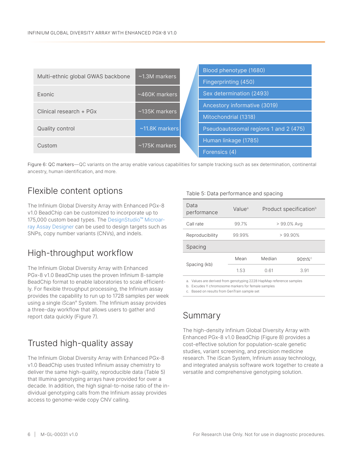|                                   |                      |  | Blood phenotype (1680)                |
|-----------------------------------|----------------------|--|---------------------------------------|
| Multi-ethnic global GWAS backbone | $\sim$ 1.3M markers  |  | Fingerprinting (450)                  |
| <b>Exonic</b>                     | $~\sim$ 460K markers |  | Sex determination (2493)              |
|                                   |                      |  | Ancestory informative (3019)          |
| Clinical research + PGx           | $~\sim$ 135K markers |  | Mitochondrial (1318)                  |
| Quality control                   | $~11.8K$ markers     |  | Pseudoautosomal regions 1 and 2 (475) |
| Custom                            | $~175K$ markers      |  | Human linkage (1785)                  |
|                                   |                      |  | Forensics (4)                         |

<span id="page-5-0"></span>Figure 6: QC markers—QC variants on the array enable various capabilities for sample tracking such as sex determination, continental ancestry, human identification, and more.

# Flexible content options

The Infinium Global Diversity Array with Enhanced PGx-8 v1.0 BeadChip can be customized to incorporate up to 175,000 custom bead types. The [DesignStudio™ Microar](https://www.illumina.com/products/by-type/informatics-products/designstudio.html)[ray Assay Designer](https://www.illumina.com/products/by-type/informatics-products/designstudio.html) can be used to design targets such as SNPs, copy number variants (CNVs), and indels.

# High-throughput workflow

The Infinium Global Diversity Array with Enhanced PGx-8 v1.0 BeadChip uses the proven Infinium 8-sample BeadChip format to enable laboratories to scale efficiently. For flexible throughput processing, the Infinium assay provides the capability to run up to 1728 samples per week using a single iScan® System. The Infinium assay provides a three-day workflow that allows users to gather and report data quickly [\(Figure](#page-6-0) 7).

# Trusted high-quality assay

The Infinium Global Diversity Array with Enhanced PGx-8 v1.0 BeadChip uses trusted Infinium assay chemistry to deliver the same high-quality, reproducible data ([Table 5\)](#page-5-1) that Illumina genotyping arrays have provided for over a decade. In addition, the high signal-to-noise ratio of the individual genotyping calls from the Infinium assay provides access to genome-wide copy CNV calling.

### <span id="page-5-1"></span>Table 5: Data performance and spacing

| Data<br>performance | Value <sup>a</sup> | Product specification <sup>b</sup> |       |  |
|---------------------|--------------------|------------------------------------|-------|--|
| Call rate           | 99.7%              | > 99.0% Avg                        |       |  |
| Reproducibility     | 99.99%             | $> 99.90\%$                        |       |  |
| Spacing             |                    |                                    |       |  |
|                     | Mean               | Median                             | 90th% |  |
| Spacing (kb)        | 1.53               | 0.61                               | 3.91  |  |

a. Values are derived from genotyping 2228 HapMap reference samples

b. Excudes Y chromosome markers for female samples

c. Based on results from GenTrain sample set

## Summary

The high-density Infinium Global Diversity Array with Enhanced PGx-8 v1.0 BeadChip ([Figure 8](#page-6-1)) provides a cost-effective solution for population-scale genetic studies, variant screening, and precision medicine research. The iScan System, Infinium assay technology, and integrated analysis software work together to create a versatile and comprehensive genotyping solution.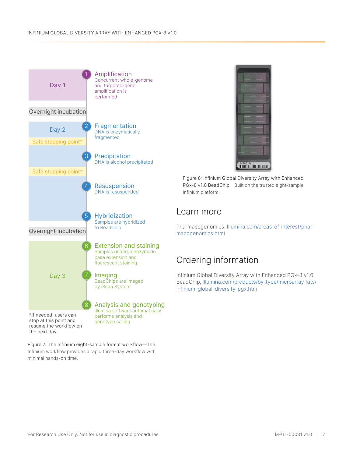

stop at this point and resume the workflow on the next day.

<span id="page-6-0"></span>Figure 7: The Infinium eight-sample format workflow—The Infinium workflow provides a rapid three-day workflow with minimal hands-on time.



<span id="page-6-1"></span>Figure 8: Infinium Global Diversity Array with Enhanced PGx-8 v1.0 BeadChip—Built on the trusted eight-sample Infinium platform.

## Learn more

Pharmacogenomics. [Illumina.com/areas-of-interest/phar](http://www.Illumina.com/areas-of-interest/pharmacogenomics.html
)[macogenomics.html](http://www.Illumina.com/areas-of-interest/pharmacogenomics.html
)

# Ordering information

Infinium Global Diversity Array with Enhanced PGx-8 v1.0 BeadChip, [Illumina.com/products/by-type/microarray-kits/](https://www.illumina.com/products/by-type/microarray-kits/infinium-global-diversity-pgx.html) [infinium-global-diversity-pgx.html](https://www.illumina.com/products/by-type/microarray-kits/infinium-global-diversity-pgx.html)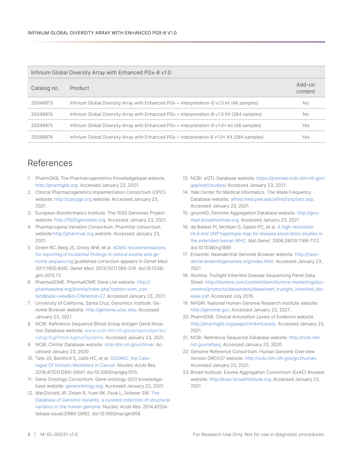| Infinium Global Diversity Array with Enhanced PGx-8 v1.0 |                                                                                                |                   |  |  |
|----------------------------------------------------------|------------------------------------------------------------------------------------------------|-------------------|--|--|
| Catalog no.                                              | Product                                                                                        | Add-on<br>content |  |  |
| 20048873                                                 | Infinium Global Diversity Array with Enhanced PGx + interpretation-8 v1.0 kit (48 samples)     | No.               |  |  |
| 20048874                                                 | Infinium Global Diversity Array with Enhanced PGx + interpretation-8 v1.0 Kit (384 samples)    | No.               |  |  |
| 20048875                                                 | Infinium Global Diversity Array with Enhanced PGx + interpretation-8 v1.0+ kit (48 samples)    | Yes               |  |  |
| 20048876                                                 | Infinium Global Diversity Array with Enhanced $PGx + interpretation 8 v1.0+ Kit (384 samples)$ | Yes               |  |  |

### References

- <span id="page-7-0"></span>1. PharmGKB, The Pharmacogenomics Knowledgebase website. [http://pharmgkb.org.](http://pharmgkb.org) Accessed January 23, 2021.
- <span id="page-7-1"></span>2. Clinical Pharmacogenetics Implementation Consortium (CPIC) website. <http://cpicpgx.org> website. Accessed January 23, 2021.
- <span id="page-7-2"></span>3. European Bioinformatics Institute. The 1000 Genomes Project website. [http://1000genomes.org.](http://1000genomes.org) Accessed January 23, 2021.
- <span id="page-7-3"></span>4. Pharmacogene Variation Consortium. PharmVar consortium website [http://pharmvar.org w](https://www.pharmvar.org/)ebsite. Accessed January 23, 2021.
- <span id="page-7-4"></span>5. Green RC, Berg JS, Grody WW, et al. [ACMG recommendations](https://pubmed.ncbi.nlm.nih.gov/23788249/
)  [for reporting of incidental findings in clinical exome and ge](https://pubmed.ncbi.nlm.nih.gov/23788249/
)[nome sequencing](https://pubmed.ncbi.nlm.nih.gov/23788249/
) [published correction appears in *Genet Med*. 2017;19(5):606]. *Genet Med*. 2013;15(7):565-574. doi:10.1038/ gim.2013.73
- <span id="page-7-11"></span>6. PharmaADME. PharmaADME Gene List website. [http://](http://pharmaadme.org/joomla/index.php?option=com_content&task=view&id=12&Itemid=27) [pharmaadme.org/joomla/index.php?option=com\\_con](http://pharmaadme.org/joomla/index.php?option=com_content&task=view&id=12&Itemid=27)[tent&task=view&id=12&Itemid=27.](http://pharmaadme.org/joomla/index.php?option=com_content&task=view&id=12&Itemid=27) Accessed January 23, 2021.
- <span id="page-7-12"></span>7. University of California, Santa Cruz, Genomics Institute. Genome Browser website.<http://genome.ucsc.edu>. Accessed January 23, 2021.
- <span id="page-7-16"></span>8. NCBI. Reference Sequence Blood Group Antigen Gene Mutation Database website. www.ncbi.nlm.nih.gov/projects/gv/rbc/ xslcgi.fcgi?cmd=bgmut/systems. Accessed January 23, 2021.
- <span id="page-7-18"></span>9. NCBI. ClinVar Database website. [ncbi.nlm.nih.gov/clinvar](https://ncbi.nlm.nih.gov/clinvar). Accessed January 23, 2020.
- <span id="page-7-19"></span>10. Tate JG, Bamford S, Jubb HC, et al. [COSMIC: the Cata](https://pubmed.ncbi.nlm.nih.gov/30371878/)[logue Of Somatic Mutations In Cancer.](https://pubmed.ncbi.nlm.nih.gov/30371878/) *Nucleic Acids Res*. 2019;47(D1):D941-D947. doi:10.1093/nar/gky1015.
- <span id="page-7-5"></span>11. Gene Ontology Consortium. Gene ontology (GO) knowledgebase website. [geneontology.org](http://geneontology.org). Accessed January 23, 2021.
- <span id="page-7-6"></span>12. MacDonald JR, Ziman R, Yuen RK, Feuk L, Scherer SW. [The](https://pubmed.ncbi.nlm.nih.gov/24174537/)  [Database of Genomic Variants: a curated collection of structural](https://pubmed.ncbi.nlm.nih.gov/24174537/)  [variation in the human genome](https://pubmed.ncbi.nlm.nih.gov/24174537/). *Nucleic Acids Res*. 2014;42(Database issue):D986-D992. doi:10.1093/nar/gkt958.
- <span id="page-7-7"></span>13. NCBI. eQTL Database website[. https://preview.ncbi.nlm.nih.gov/](https://preview.ncbi.nlm.nih.gov/gap/eqtl/studies/) [gap/eqtl/studies/](https://preview.ncbi.nlm.nih.gov/gap/eqtl/studies/) Accessed January 23, 2021.
- <span id="page-7-8"></span>14. Yale Center for Medical Informatics. The Allele Frequency Database website. [alfred.med.yale.edu/alfred/snpSets.asp](https://alfred.med.yale.edu/alfred/snpSets.asp). Accessed January 23, 2021.
- <span id="page-7-9"></span>15. gnomAD, Genome Aggregation Database website. [http://gno](http://gnomad.broadinstitute.org)[mad.broadinstitute.org](http://gnomad.broadinstitute.org). Accessed January 23, 2021.
- <span id="page-7-10"></span>16. de Bakker PI, McVean G, Sabeti PC, et al. [A high-resolution](https://pubmed.ncbi.nlm.nih.gov/16998491/)  [HLA and SNP haplotype map for disease association studies in](https://pubmed.ncbi.nlm.nih.gov/16998491/)  [the extended human MHC.](https://pubmed.ncbi.nlm.nih.gov/16998491/) *Nat Genet.* 2006;38(10):1166-1172. doi:10.1038/ng1885
- <span id="page-7-13"></span>17. Ensembl. Neanderthal Genome Browser website. [http://nean](http://neandertal.ensemblgenomes.org/index.html)[dertal.ensemblgenomes.org/index.html](http://neandertal.ensemblgenomes.org/index.html). Accessed January 23, 2021.
- <span id="page-7-14"></span>18. Illumina. TruSight Inherited Disease Sequencing Panel Data Sheet. [http://illumina.com/content/dam/illumina-marketing/doc](https://illumina.com/content/dam/illumina-marketing/documents/products/datasheets/datasheet_trusight_inherited_disease.pdf)[uments/products/datasheets/datasheet\\_trusight\\_inherited\\_dis](https://illumina.com/content/dam/illumina-marketing/documents/products/datasheets/datasheet_trusight_inherited_disease.pdf)[ease.pdf](https://illumina.com/content/dam/illumina-marketing/documents/products/datasheets/datasheet_trusight_inherited_disease.pdf). Accessed July 2016.
- <span id="page-7-15"></span>19. NHGRI. National Human Genome Research Institute website. [http://genome.gov.](https://www.genome.gov/) Accessed January 23, 2021.
- <span id="page-7-17"></span>20. PharmGKB. Clinical Annotation Levels of Evidence website. [.](http://pharmgkb.org/page/clinAnnLevels) <http://pharmgkb.org/page/clinAnnLevels>. Accessed January 23, 2021.
- <span id="page-7-20"></span>21. NCBI. Reference Sequence Database website. [http://ncbi.nlm.](http://ncbi.nlm.nih.gov/refseq) [nih.gov/refseq](http://ncbi.nlm.nih.gov/refseq). Accessed January 23, 2020.
- <span id="page-7-21"></span>22. Genome Reference Consortium. Human Genome Overview Version GRCh37 website.<http://ncbi.nlm.nih.gov/grc/human>. Accessed January 23, 2021.
- <span id="page-7-22"></span>23. Broad Institute. Exome Aggregation Consortium (ExAC) Browser website. [http://exac.broadinstitute.org.](http://exac.broadinstitute.org) Accessed January 23, 2021.